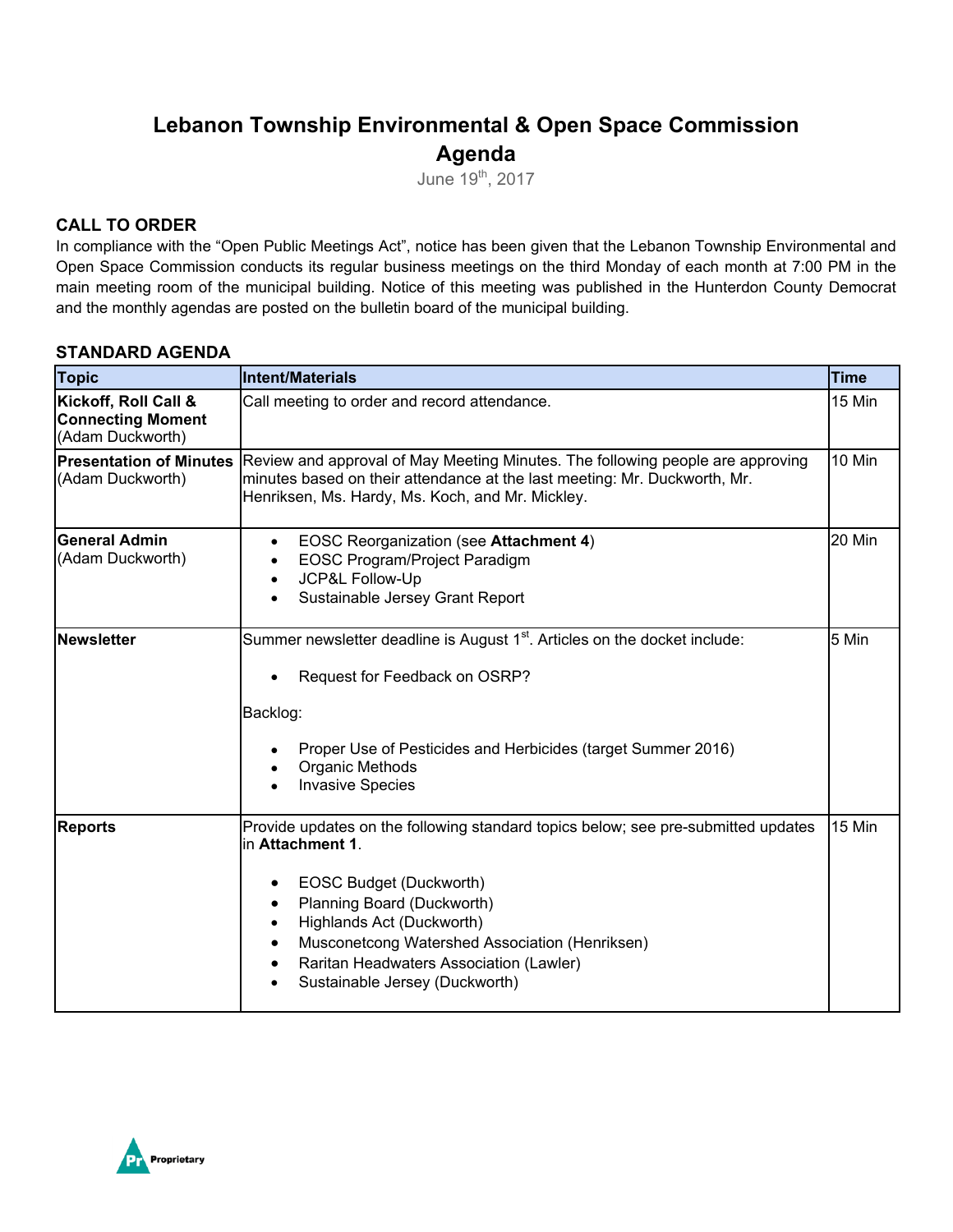# **Lebanon Township Environmental & Open Space Commission Agenda**

June 19th, 2017

### **CALL TO ORDER**

In compliance with the "Open Public Meetings Act", notice has been given that the Lebanon Township Environmental and Open Space Commission conducts its regular business meetings on the third Monday of each month at 7:00 PM in the main meeting room of the municipal building. Notice of this meeting was published in the Hunterdon County Democrat and the monthly agendas are posted on the bulletin board of the municipal building.

### **STANDARD AGENDA**

| <b>Topic</b>                                                         | <b>Intent/Materials</b>                                                                                                                                                                                                                                                                                                                                            | <b>Time</b> |
|----------------------------------------------------------------------|--------------------------------------------------------------------------------------------------------------------------------------------------------------------------------------------------------------------------------------------------------------------------------------------------------------------------------------------------------------------|-------------|
| Kickoff, Roll Call &<br><b>Connecting Moment</b><br>(Adam Duckworth) | Call meeting to order and record attendance.                                                                                                                                                                                                                                                                                                                       | 15 Min      |
| <b>Presentation of Minutes</b><br>(Adam Duckworth)                   | Review and approval of May Meeting Minutes. The following people are approving<br>minutes based on their attendance at the last meeting: Mr. Duckworth, Mr.<br>Henriksen, Ms. Hardy, Ms. Koch, and Mr. Mickley.                                                                                                                                                    | 10 Min      |
| <b>General Admin</b><br>(Adam Duckworth)                             | <b>EOSC Reorganization (see Attachment 4)</b><br>$\bullet$<br>EOSC Program/Project Paradigm<br>$\bullet$<br>JCP&L Follow-Up<br>$\bullet$<br>Sustainable Jersey Grant Report                                                                                                                                                                                        | 20 Min      |
| Newsletter                                                           | Summer newsletter deadline is August 1 <sup>st</sup> . Articles on the docket include:<br>Request for Feedback on OSRP?<br>Backlog:<br>Proper Use of Pesticides and Herbicides (target Summer 2016)<br>Organic Methods<br><b>Invasive Species</b>                                                                                                                  | 5 Min       |
| <b>Reports</b>                                                       | Provide updates on the following standard topics below; see pre-submitted updates<br>lin Attachment 1.<br>EOSC Budget (Duckworth)<br>$\bullet$<br>Planning Board (Duckworth)<br>$\bullet$<br>Highlands Act (Duckworth)<br>$\bullet$<br>Musconetcong Watershed Association (Henriksen)<br>Raritan Headwaters Association (Lawler)<br>Sustainable Jersey (Duckworth) | 15 Min      |

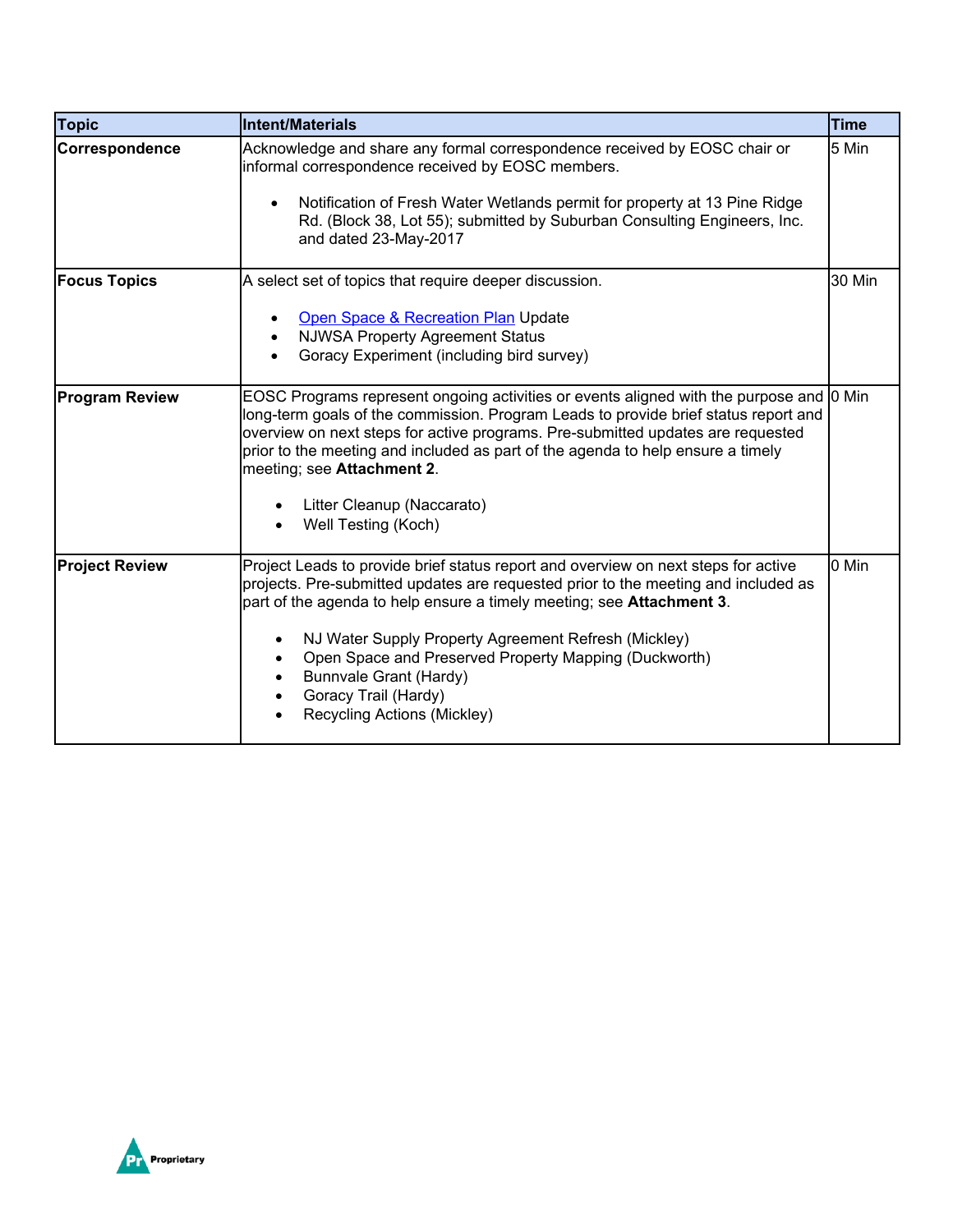| Topic                 | Intent/Materials                                                                                                                                                                                                                                                                                                                                                                                                                                            | <b>Time</b> |
|-----------------------|-------------------------------------------------------------------------------------------------------------------------------------------------------------------------------------------------------------------------------------------------------------------------------------------------------------------------------------------------------------------------------------------------------------------------------------------------------------|-------------|
| Correspondence        | Acknowledge and share any formal correspondence received by EOSC chair or<br>informal correspondence received by EOSC members.<br>Notification of Fresh Water Wetlands permit for property at 13 Pine Ridge<br>$\bullet$<br>Rd. (Block 38, Lot 55); submitted by Suburban Consulting Engineers, Inc.<br>and dated 23-May-2017                                                                                                                               | 5 Min       |
| <b>Focus Topics</b>   | A select set of topics that require deeper discussion.<br>Open Space & Recreation Plan Update<br><b>NJWSA Property Agreement Status</b><br>Goracy Experiment (including bird survey)                                                                                                                                                                                                                                                                        | 30 Min      |
| <b>Program Review</b> | EOSC Programs represent ongoing activities or events aligned with the purpose and 0 Min<br>long-term goals of the commission. Program Leads to provide brief status report and<br>overview on next steps for active programs. Pre-submitted updates are requested<br>prior to the meeting and included as part of the agenda to help ensure a timely<br>meeting; see Attachment 2.<br>Litter Cleanup (Naccarato)<br>Well Testing (Koch)                     |             |
| <b>Project Review</b> | Project Leads to provide brief status report and overview on next steps for active<br>projects. Pre-submitted updates are requested prior to the meeting and included as<br>part of the agenda to help ensure a timely meeting; see <b>Attachment 3</b> .<br>NJ Water Supply Property Agreement Refresh (Mickley)<br>Open Space and Preserved Property Mapping (Duckworth)<br>Bunnvale Grant (Hardy)<br>Goracy Trail (Hardy)<br>Recycling Actions (Mickley) | 0 Min       |

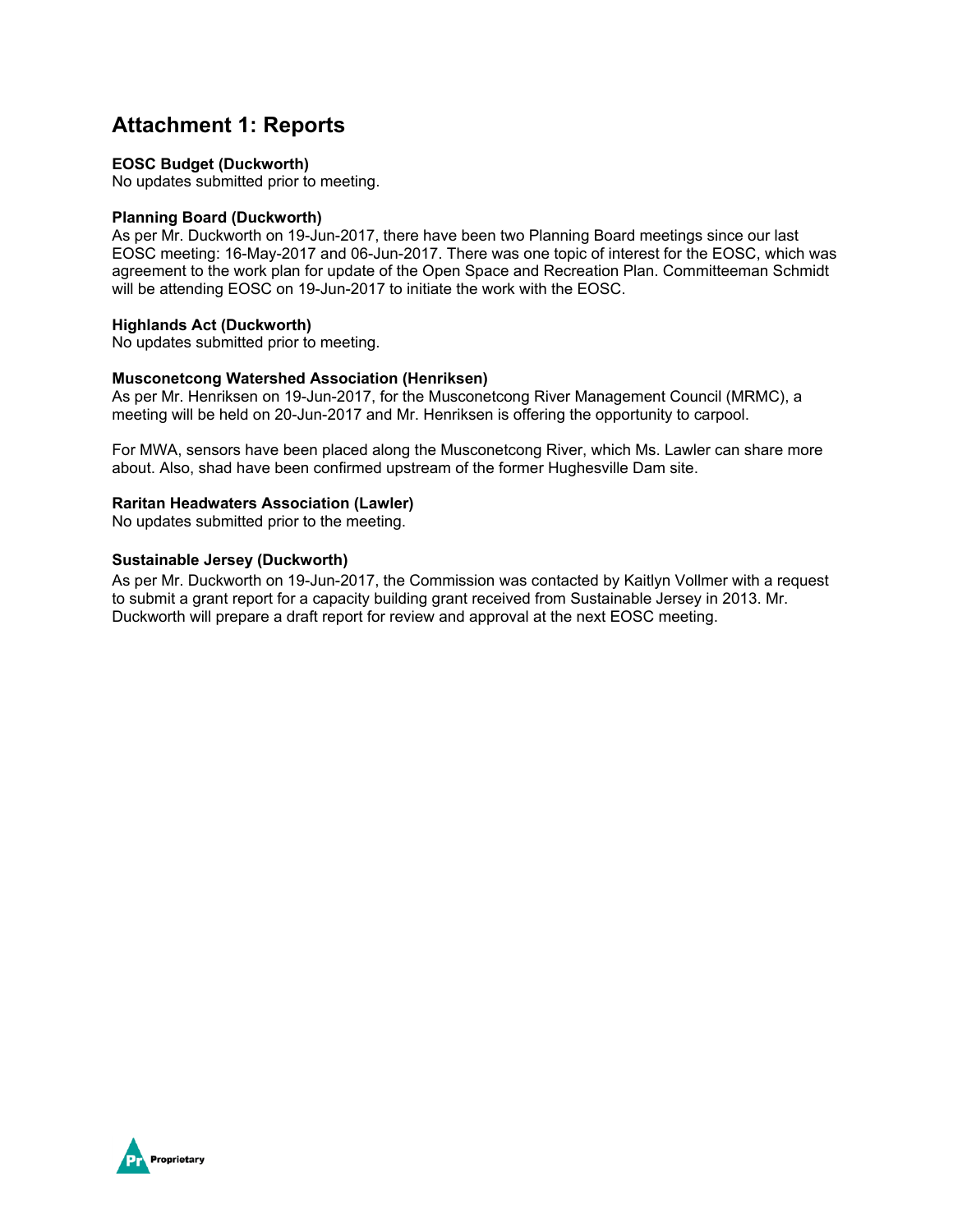## **Attachment 1: Reports**

#### **EOSC Budget (Duckworth)**

No updates submitted prior to meeting.

### **Planning Board (Duckworth)**

As per Mr. Duckworth on 19-Jun-2017, there have been two Planning Board meetings since our last EOSC meeting: 16-May-2017 and 06-Jun-2017. There was one topic of interest for the EOSC, which was agreement to the work plan for update of the Open Space and Recreation Plan. Committeeman Schmidt will be attending EOSC on 19-Jun-2017 to initiate the work with the EOSC.

### **Highlands Act (Duckworth)**

No updates submitted prior to meeting.

### **Musconetcong Watershed Association (Henriksen)**

As per Mr. Henriksen on 19-Jun-2017, for the Musconetcong River Management Council (MRMC), a meeting will be held on 20-Jun-2017 and Mr. Henriksen is offering the opportunity to carpool.

For MWA, sensors have been placed along the Musconetcong River, which Ms. Lawler can share more about. Also, shad have been confirmed upstream of the former Hughesville Dam site.

#### **Raritan Headwaters Association (Lawler)**

No updates submitted prior to the meeting.

#### **Sustainable Jersey (Duckworth)**

As per Mr. Duckworth on 19-Jun-2017, the Commission was contacted by Kaitlyn Vollmer with a request to submit a grant report for a capacity building grant received from Sustainable Jersey in 2013. Mr. Duckworth will prepare a draft report for review and approval at the next EOSC meeting.

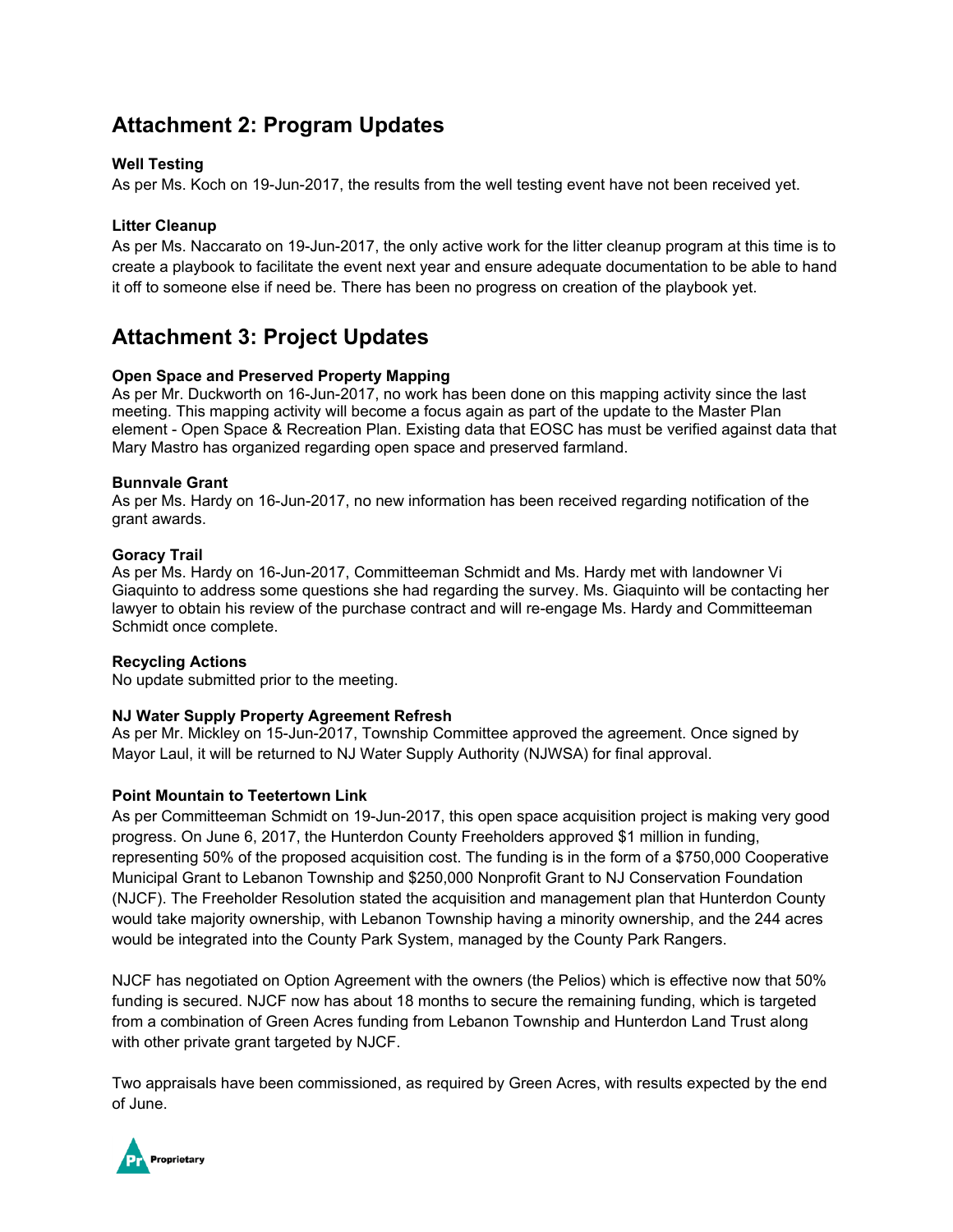# **Attachment 2: Program Updates**

### **Well Testing**

As per Ms. Koch on 19-Jun-2017, the results from the well testing event have not been received yet.

### **Litter Cleanup**

As per Ms. Naccarato on 19-Jun-2017, the only active work for the litter cleanup program at this time is to create a playbook to facilitate the event next year and ensure adequate documentation to be able to hand it off to someone else if need be. There has been no progress on creation of the playbook yet.

## **Attachment 3: Project Updates**

### **Open Space and Preserved Property Mapping**

As per Mr. Duckworth on 16-Jun-2017, no work has been done on this mapping activity since the last meeting. This mapping activity will become a focus again as part of the update to the Master Plan element - Open Space & Recreation Plan. Existing data that EOSC has must be verified against data that Mary Mastro has organized regarding open space and preserved farmland.

### **Bunnvale Grant**

As per Ms. Hardy on 16-Jun-2017, no new information has been received regarding notification of the grant awards.

### **Goracy Trail**

As per Ms. Hardy on 16-Jun-2017, Committeeman Schmidt and Ms. Hardy met with landowner Vi Giaquinto to address some questions she had regarding the survey. Ms. Giaquinto will be contacting her lawyer to obtain his review of the purchase contract and will re-engage Ms. Hardy and Committeeman Schmidt once complete.

### **Recycling Actions**

No update submitted prior to the meeting.

### **NJ Water Supply Property Agreement Refresh**

As per Mr. Mickley on 15-Jun-2017, Township Committee approved the agreement. Once signed by Mayor Laul, it will be returned to NJ Water Supply Authority (NJWSA) for final approval.

### **Point Mountain to Teetertown Link**

As per Committeeman Schmidt on 19-Jun-2017, this open space acquisition project is making very good progress. On June 6, 2017, the Hunterdon County Freeholders approved \$1 million in funding, representing 50% of the proposed acquisition cost. The funding is in the form of a \$750,000 Cooperative Municipal Grant to Lebanon Township and \$250,000 Nonprofit Grant to NJ Conservation Foundation (NJCF). The Freeholder Resolution stated the acquisition and management plan that Hunterdon County would take majority ownership, with Lebanon Township having a minority ownership, and the 244 acres would be integrated into the County Park System, managed by the County Park Rangers.

NJCF has negotiated on Option Agreement with the owners (the Pelios) which is effective now that 50% funding is secured. NJCF now has about 18 months to secure the remaining funding, which is targeted from a combination of Green Acres funding from Lebanon Township and Hunterdon Land Trust along with other private grant targeted by NJCF.

Two appraisals have been commissioned, as required by Green Acres, with results expected by the end of June.

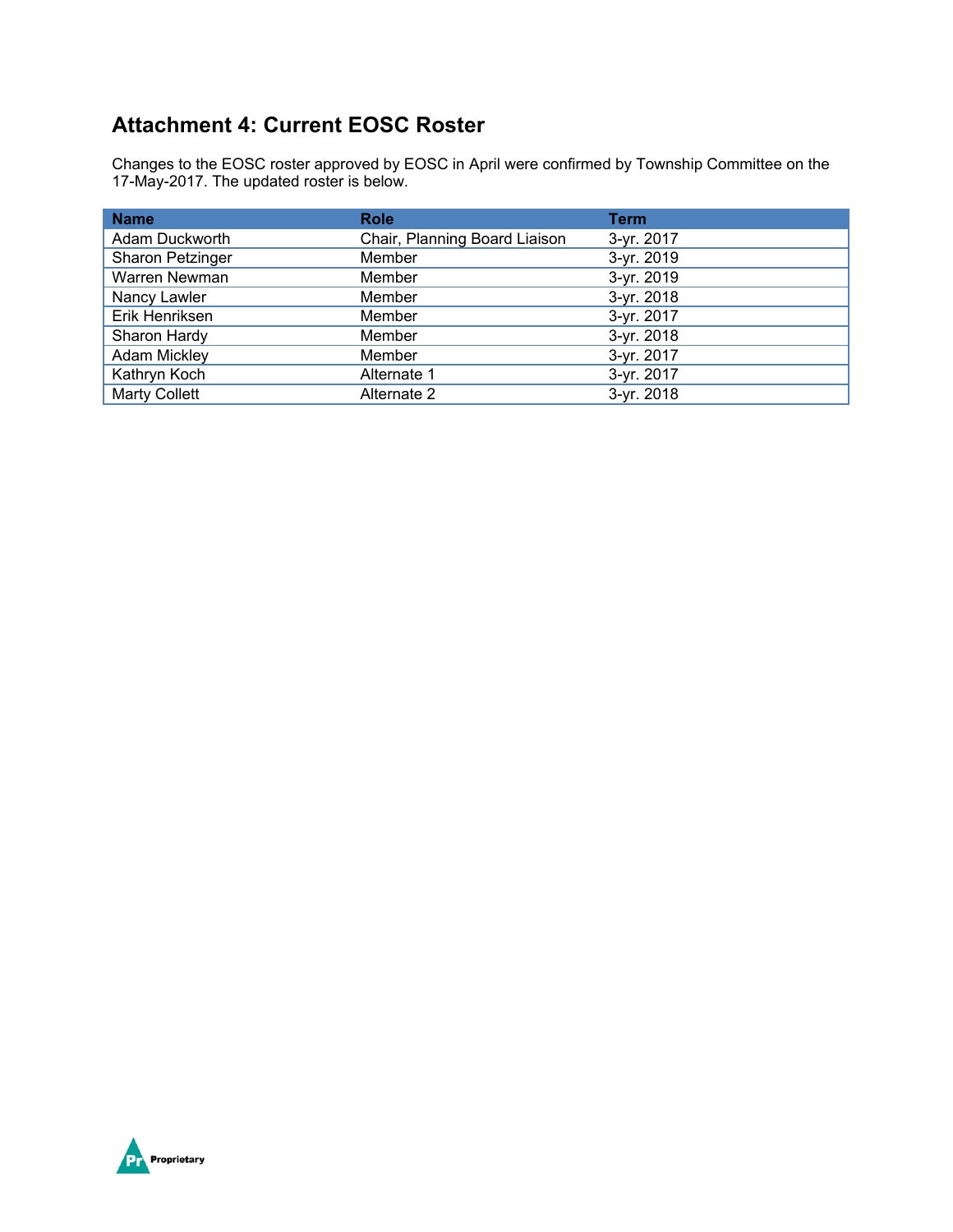# **Attachment 4: Current EOSC Roster**

Changes to the EOSC roster approved by EOSC in April were confirmed by Township Committee on the 17-May-2017. The updated roster is below.

| <b>Name</b>          | <b>Role</b>                   | <b>Term</b> |
|----------------------|-------------------------------|-------------|
| Adam Duckworth       | Chair, Planning Board Liaison | 3-yr. 2017  |
| Sharon Petzinger     | Member                        | 3-yr. 2019  |
| Warren Newman        | Member                        | 3-yr. 2019  |
| Nancy Lawler         | Member                        | 3-yr. 2018  |
| Erik Henriksen       | Member                        | 3-yr. 2017  |
| Sharon Hardy         | Member                        | 3-yr. 2018  |
| Adam Mickley         | Member                        | 3-yr. 2017  |
| Kathryn Koch         | Alternate 1                   | 3-yr. 2017  |
| <b>Marty Collett</b> | Alternate 2                   | 3-yr. 2018  |

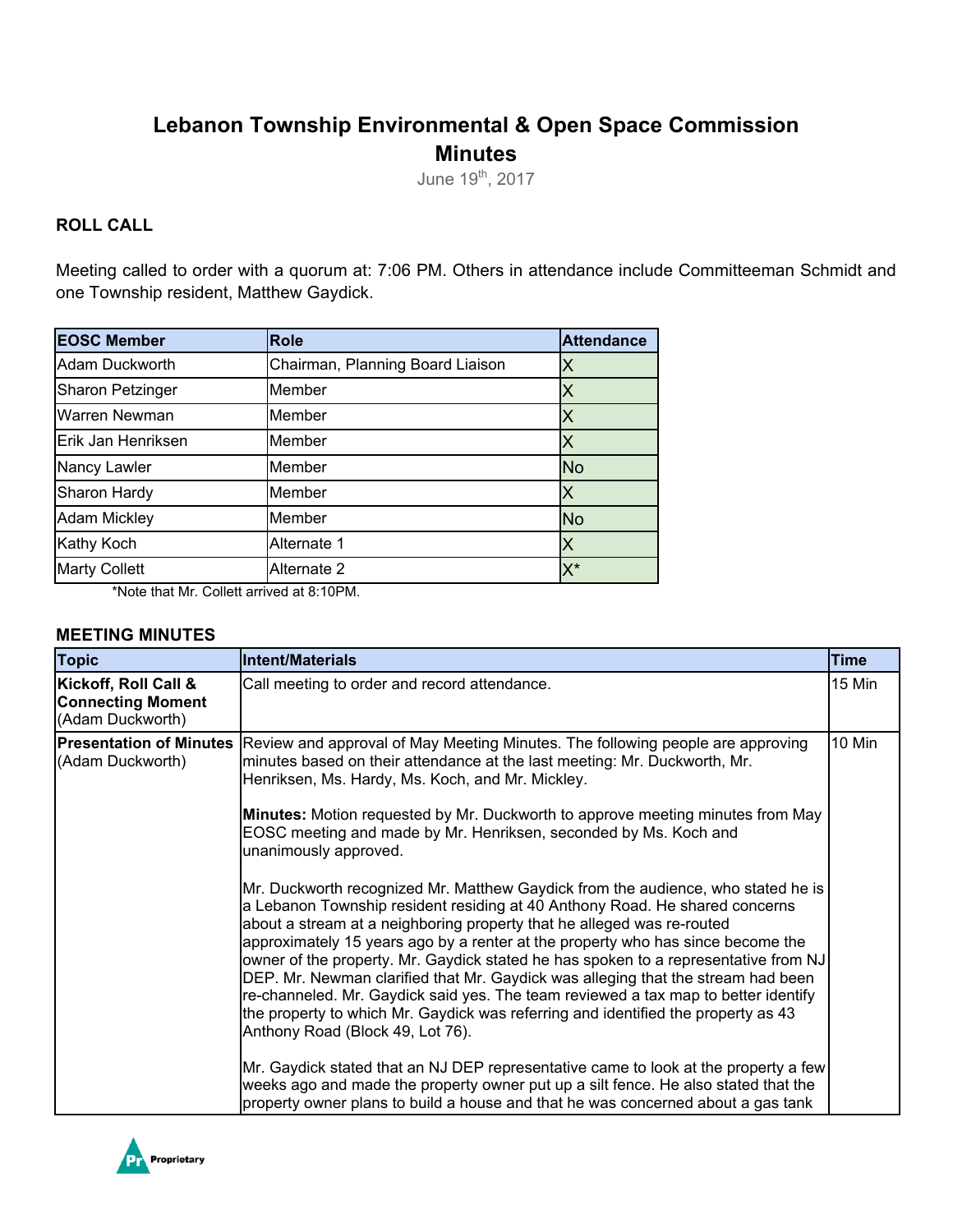# **Lebanon Township Environmental & Open Space Commission Minutes**

June 19<sup>th</sup>, 2017

## **ROLL CALL**

Meeting called to order with a quorum at: 7:06 PM. Others in attendance include Committeeman Schmidt and one Township resident, Matthew Gaydick.

| <b>EOSC Member</b>    | <b>Role</b>                      | <b>Attendance</b> |
|-----------------------|----------------------------------|-------------------|
| <b>Adam Duckworth</b> | Chairman, Planning Board Liaison | Χ                 |
| Sharon Petzinger      | Member                           | X                 |
| Warren Newman         | Member                           | X                 |
| Erik Jan Henriksen    | Member                           | X                 |
| Nancy Lawler          | Member                           | <b>No</b>         |
| Sharon Hardy          | Member                           | X                 |
| <b>Adam Mickley</b>   | Member                           | <b>No</b>         |
| <b>Kathy Koch</b>     | Alternate 1                      | IХ                |
| <b>Marty Collett</b>  | Alternate 2                      | $X^*$             |

\*Note that Mr. Collett arrived at 8:10PM.

### **MEETING MINUTES**

| <b>Topic</b>                                                         | Intent/Materials                                                                                                                                                                                                                                                                                                                                                                                                                                                                                                                                                                                                                                                                                                       | <b>Time</b> |
|----------------------------------------------------------------------|------------------------------------------------------------------------------------------------------------------------------------------------------------------------------------------------------------------------------------------------------------------------------------------------------------------------------------------------------------------------------------------------------------------------------------------------------------------------------------------------------------------------------------------------------------------------------------------------------------------------------------------------------------------------------------------------------------------------|-------------|
| Kickoff, Roll Call &<br><b>Connecting Moment</b><br>(Adam Duckworth) | Call meeting to order and record attendance.                                                                                                                                                                                                                                                                                                                                                                                                                                                                                                                                                                                                                                                                           | 15 Min      |
| (Adam Duckworth)                                                     | Presentation of Minutes Review and approval of May Meeting Minutes. The following people are approving<br>minutes based on their attendance at the last meeting: Mr. Duckworth, Mr.<br>Henriksen, Ms. Hardy, Ms. Koch, and Mr. Mickley.                                                                                                                                                                                                                                                                                                                                                                                                                                                                                | 10 Min      |
|                                                                      | Minutes: Motion requested by Mr. Duckworth to approve meeting minutes from May<br>EOSC meeting and made by Mr. Henriksen, seconded by Ms. Koch and<br>unanimously approved.                                                                                                                                                                                                                                                                                                                                                                                                                                                                                                                                            |             |
|                                                                      | Mr. Duckworth recognized Mr. Matthew Gaydick from the audience, who stated he is<br>a Lebanon Township resident residing at 40 Anthony Road. He shared concerns<br>about a stream at a neighboring property that he alleged was re-routed<br>approximately 15 years ago by a renter at the property who has since become the<br>owner of the property. Mr. Gaydick stated he has spoken to a representative from NJ<br>DEP. Mr. Newman clarified that Mr. Gaydick was alleging that the stream had been<br>re-channeled. Mr. Gaydick said yes. The team reviewed a tax map to better identify<br>the property to which Mr. Gaydick was referring and identified the property as 43<br>Anthony Road (Block 49, Lot 76). |             |
|                                                                      | Mr. Gaydick stated that an NJ DEP representative came to look at the property a few<br>weeks ago and made the property owner put up a silt fence. He also stated that the<br>property owner plans to build a house and that he was concerned about a gas tank                                                                                                                                                                                                                                                                                                                                                                                                                                                          |             |

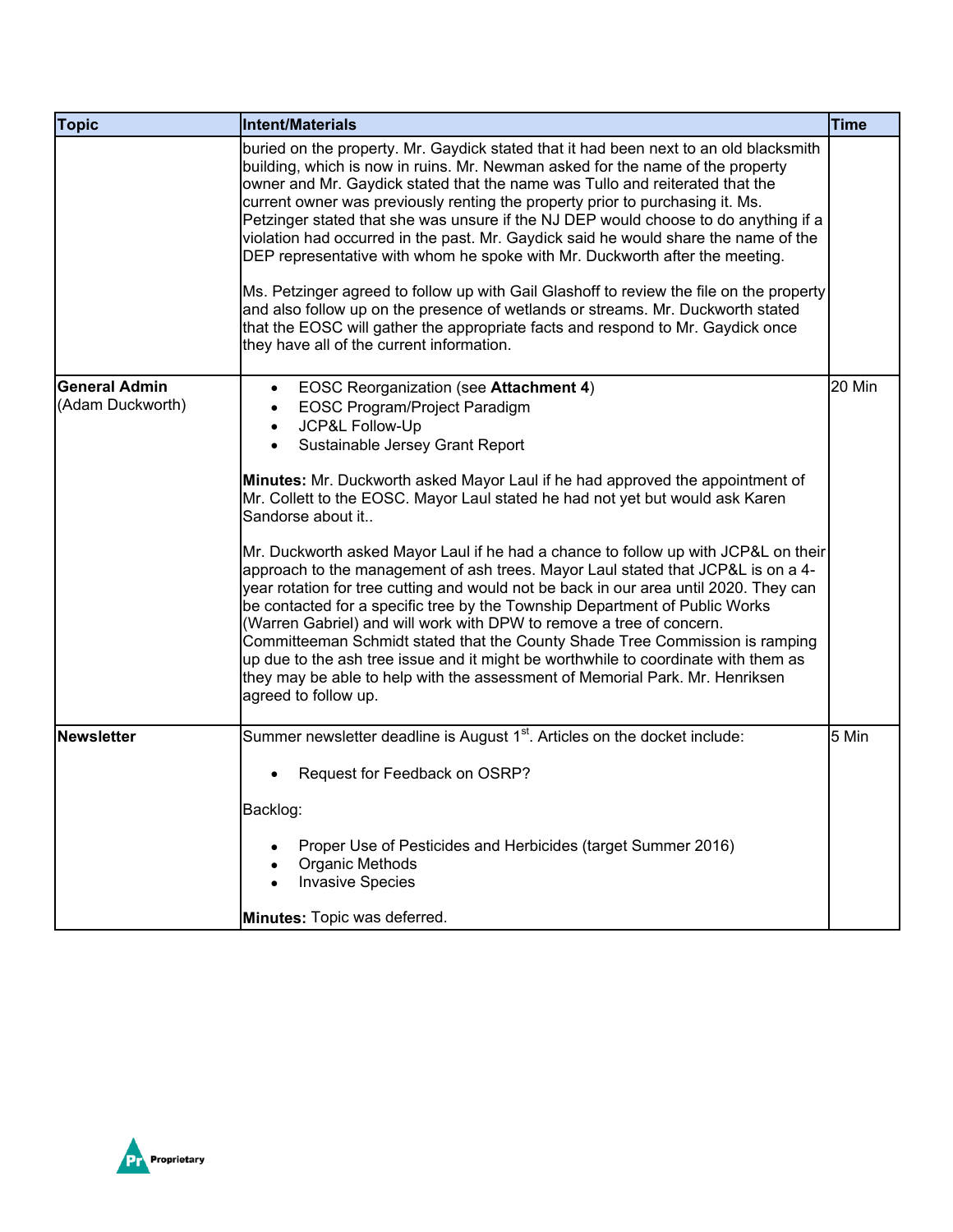| <b>Topic</b>                             | Intent/Materials                                                                                                                                                                                                                                                                                                                                                                                                                                                                                                                                                                                                                                                                                                                                                                                                                                                                                                                                                                                                                                                           | <b>Time</b> |
|------------------------------------------|----------------------------------------------------------------------------------------------------------------------------------------------------------------------------------------------------------------------------------------------------------------------------------------------------------------------------------------------------------------------------------------------------------------------------------------------------------------------------------------------------------------------------------------------------------------------------------------------------------------------------------------------------------------------------------------------------------------------------------------------------------------------------------------------------------------------------------------------------------------------------------------------------------------------------------------------------------------------------------------------------------------------------------------------------------------------------|-------------|
|                                          | buried on the property. Mr. Gaydick stated that it had been next to an old blacksmith<br>building, which is now in ruins. Mr. Newman asked for the name of the property<br>owner and Mr. Gaydick stated that the name was Tullo and reiterated that the<br>current owner was previously renting the property prior to purchasing it. Ms.<br>Petzinger stated that she was unsure if the NJ DEP would choose to do anything if a<br>violation had occurred in the past. Mr. Gaydick said he would share the name of the<br>DEP representative with whom he spoke with Mr. Duckworth after the meeting.<br>Ms. Petzinger agreed to follow up with Gail Glashoff to review the file on the property<br>and also follow up on the presence of wetlands or streams. Mr. Duckworth stated<br>that the EOSC will gather the appropriate facts and respond to Mr. Gaydick once<br>they have all of the current information.                                                                                                                                                        |             |
| <b>General Admin</b><br>(Adam Duckworth) | <b>EOSC Reorganization (see Attachment 4)</b><br>$\bullet$<br>EOSC Program/Project Paradigm<br>JCP&L Follow-Up<br>$\bullet$<br>Sustainable Jersey Grant Report<br>$\bullet$<br>Minutes: Mr. Duckworth asked Mayor Laul if he had approved the appointment of<br>Mr. Collett to the EOSC. Mayor Laul stated he had not yet but would ask Karen<br>Sandorse about it<br>Mr. Duckworth asked Mayor Laul if he had a chance to follow up with JCP&L on their<br>approach to the management of ash trees. Mayor Laul stated that JCP&L is on a 4-<br>year rotation for tree cutting and would not be back in our area until 2020. They can<br>be contacted for a specific tree by the Township Department of Public Works<br>(Warren Gabriel) and will work with DPW to remove a tree of concern.<br>Committeeman Schmidt stated that the County Shade Tree Commission is ramping<br>up due to the ash tree issue and it might be worthwhile to coordinate with them as<br>they may be able to help with the assessment of Memorial Park. Mr. Henriksen<br>agreed to follow up. | 20 Min      |
| Newsletter                               | Summer newsletter deadline is August 1 <sup>st</sup> . Articles on the docket include:<br>Request for Feedback on OSRP?<br>Backlog:<br>Proper Use of Pesticides and Herbicides (target Summer 2016)<br>Organic Methods<br><b>Invasive Species</b><br>Minutes: Topic was deferred.                                                                                                                                                                                                                                                                                                                                                                                                                                                                                                                                                                                                                                                                                                                                                                                          | 5 Min       |

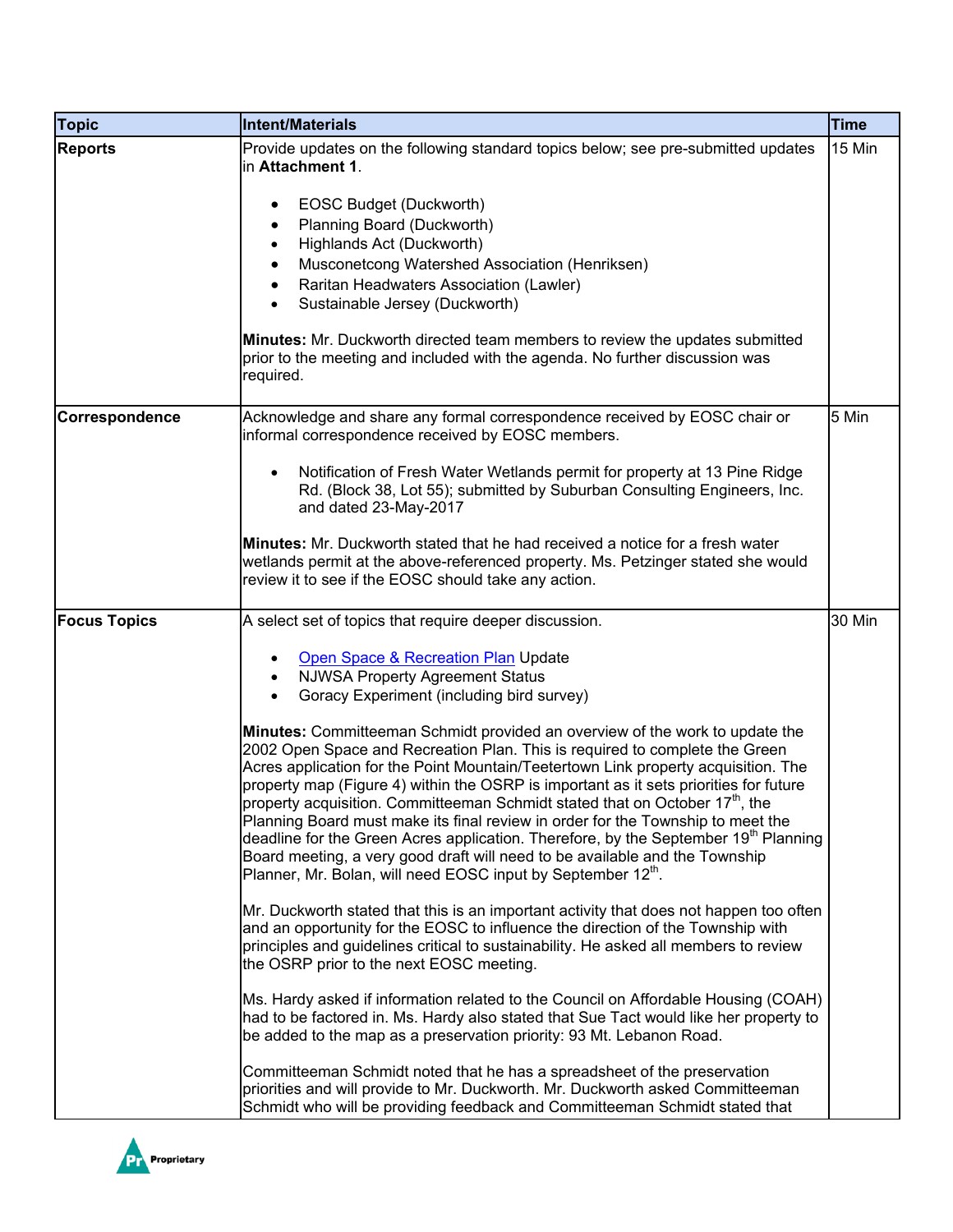| <b>Topic</b>        | Intent/Materials                                                                                                                                                                                                                                                                                                                                                                                                                                                                                                                                                                                                                                                                                                                                                                               | <b>Time</b> |
|---------------------|------------------------------------------------------------------------------------------------------------------------------------------------------------------------------------------------------------------------------------------------------------------------------------------------------------------------------------------------------------------------------------------------------------------------------------------------------------------------------------------------------------------------------------------------------------------------------------------------------------------------------------------------------------------------------------------------------------------------------------------------------------------------------------------------|-------------|
| <b>Reports</b>      | Provide updates on the following standard topics below; see pre-submitted updates<br>in Attachment 1.                                                                                                                                                                                                                                                                                                                                                                                                                                                                                                                                                                                                                                                                                          | 15 Min      |
|                     | EOSC Budget (Duckworth)                                                                                                                                                                                                                                                                                                                                                                                                                                                                                                                                                                                                                                                                                                                                                                        |             |
|                     | Planning Board (Duckworth)                                                                                                                                                                                                                                                                                                                                                                                                                                                                                                                                                                                                                                                                                                                                                                     |             |
|                     | Highlands Act (Duckworth)                                                                                                                                                                                                                                                                                                                                                                                                                                                                                                                                                                                                                                                                                                                                                                      |             |
|                     | Musconetcong Watershed Association (Henriksen)<br>Raritan Headwaters Association (Lawler)<br>٠                                                                                                                                                                                                                                                                                                                                                                                                                                                                                                                                                                                                                                                                                                 |             |
|                     | Sustainable Jersey (Duckworth)<br>$\bullet$                                                                                                                                                                                                                                                                                                                                                                                                                                                                                                                                                                                                                                                                                                                                                    |             |
|                     | <b>Minutes:</b> Mr. Duckworth directed team members to review the updates submitted<br>prior to the meeting and included with the agenda. No further discussion was<br>required.                                                                                                                                                                                                                                                                                                                                                                                                                                                                                                                                                                                                               |             |
| Correspondence      | Acknowledge and share any formal correspondence received by EOSC chair or<br>informal correspondence received by EOSC members.                                                                                                                                                                                                                                                                                                                                                                                                                                                                                                                                                                                                                                                                 | 5 Min       |
|                     | Notification of Fresh Water Wetlands permit for property at 13 Pine Ridge<br>$\bullet$<br>Rd. (Block 38, Lot 55); submitted by Suburban Consulting Engineers, Inc.<br>and dated 23-May-2017                                                                                                                                                                                                                                                                                                                                                                                                                                                                                                                                                                                                    |             |
|                     | Minutes: Mr. Duckworth stated that he had received a notice for a fresh water<br>wetlands permit at the above-referenced property. Ms. Petzinger stated she would<br>review it to see if the EOSC should take any action.                                                                                                                                                                                                                                                                                                                                                                                                                                                                                                                                                                      |             |
| <b>Focus Topics</b> | A select set of topics that require deeper discussion.                                                                                                                                                                                                                                                                                                                                                                                                                                                                                                                                                                                                                                                                                                                                         | 30 Min      |
|                     | Open Space & Recreation Plan Update<br>٠                                                                                                                                                                                                                                                                                                                                                                                                                                                                                                                                                                                                                                                                                                                                                       |             |
|                     | <b>NJWSA Property Agreement Status</b><br>$\bullet$<br>Goracy Experiment (including bird survey)                                                                                                                                                                                                                                                                                                                                                                                                                                                                                                                                                                                                                                                                                               |             |
|                     | <b>Minutes:</b> Committeeman Schmidt provided an overview of the work to update the<br>2002 Open Space and Recreation Plan. This is required to complete the Green<br>Acres application for the Point Mountain/Teetertown Link property acquisition. The<br>property map (Figure 4) within the OSRP is important as it sets priorities for future<br>property acquisition. Committeeman Schmidt stated that on October 17 <sup>th</sup> , the<br>Planning Board must make its final review in order for the Township to meet the<br>deadline for the Green Acres application. Therefore, by the September 19 <sup>th</sup> Planning<br>Board meeting, a very good draft will need to be available and the Township<br>Planner, Mr. Bolan, will need EOSC input by September 12 <sup>th</sup> . |             |
|                     | Mr. Duckworth stated that this is an important activity that does not happen too often<br>and an opportunity for the EOSC to influence the direction of the Township with<br>principles and guidelines critical to sustainability. He asked all members to review<br>the OSRP prior to the next EOSC meeting.                                                                                                                                                                                                                                                                                                                                                                                                                                                                                  |             |
|                     | Ms. Hardy asked if information related to the Council on Affordable Housing (COAH)<br>had to be factored in. Ms. Hardy also stated that Sue Tact would like her property to<br>be added to the map as a preservation priority: 93 Mt. Lebanon Road.                                                                                                                                                                                                                                                                                                                                                                                                                                                                                                                                            |             |
|                     | Committeeman Schmidt noted that he has a spreadsheet of the preservation<br>priorities and will provide to Mr. Duckworth. Mr. Duckworth asked Committeeman<br>Schmidt who will be providing feedback and Committeeman Schmidt stated that                                                                                                                                                                                                                                                                                                                                                                                                                                                                                                                                                      |             |

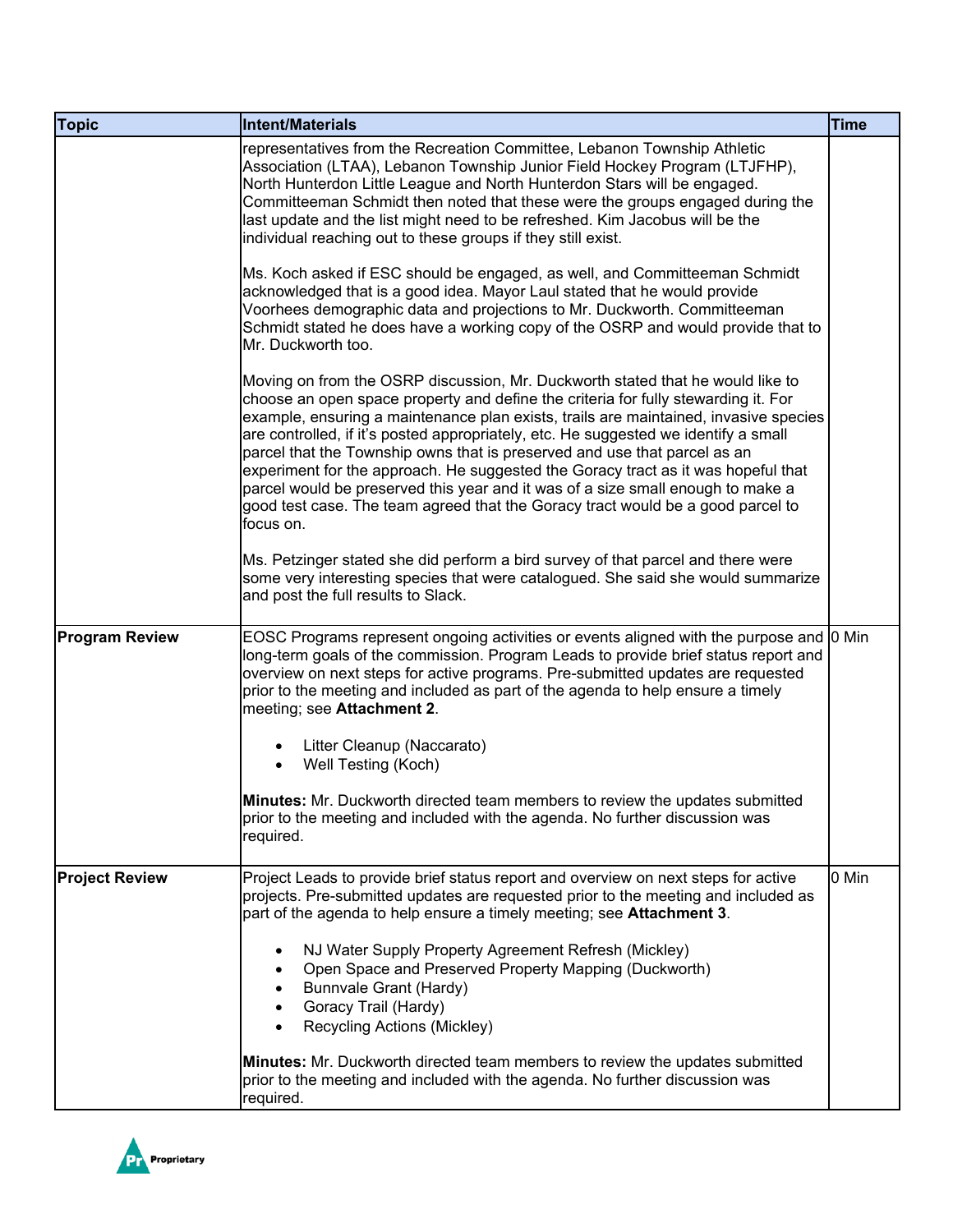| <b>Topic</b>          | Intent/Materials                                                                                                                                                                                                                                                                                                                                                                                                                                                                                                                                                                                                                                                                                         | <b>Time</b> |
|-----------------------|----------------------------------------------------------------------------------------------------------------------------------------------------------------------------------------------------------------------------------------------------------------------------------------------------------------------------------------------------------------------------------------------------------------------------------------------------------------------------------------------------------------------------------------------------------------------------------------------------------------------------------------------------------------------------------------------------------|-------------|
|                       | representatives from the Recreation Committee, Lebanon Township Athletic<br>Association (LTAA), Lebanon Township Junior Field Hockey Program (LTJFHP),<br>North Hunterdon Little League and North Hunterdon Stars will be engaged.<br>Committeeman Schmidt then noted that these were the groups engaged during the<br>last update and the list might need to be refreshed. Kim Jacobus will be the<br>individual reaching out to these groups if they still exist.                                                                                                                                                                                                                                      |             |
|                       | Ms. Koch asked if ESC should be engaged, as well, and Committeeman Schmidt<br>acknowledged that is a good idea. Mayor Laul stated that he would provide<br>Voorhees demographic data and projections to Mr. Duckworth. Committeeman<br>Schmidt stated he does have a working copy of the OSRP and would provide that to<br>Mr. Duckworth too.                                                                                                                                                                                                                                                                                                                                                            |             |
|                       | Moving on from the OSRP discussion, Mr. Duckworth stated that he would like to<br>choose an open space property and define the criteria for fully stewarding it. For<br>example, ensuring a maintenance plan exists, trails are maintained, invasive species<br>are controlled, if it's posted appropriately, etc. He suggested we identify a small<br>parcel that the Township owns that is preserved and use that parcel as an<br>experiment for the approach. He suggested the Goracy tract as it was hopeful that<br>parcel would be preserved this year and it was of a size small enough to make a<br>good test case. The team agreed that the Goracy tract would be a good parcel to<br>focus on. |             |
|                       | Ms. Petzinger stated she did perform a bird survey of that parcel and there were<br>some very interesting species that were catalogued. She said she would summarize<br>and post the full results to Slack.                                                                                                                                                                                                                                                                                                                                                                                                                                                                                              |             |
| <b>Program Review</b> | EOSC Programs represent ongoing activities or events aligned with the purpose and<br>long-term goals of the commission. Program Leads to provide brief status report and<br>overview on next steps for active programs. Pre-submitted updates are requested<br>prior to the meeting and included as part of the agenda to help ensure a timely<br>meeting; see Attachment 2.                                                                                                                                                                                                                                                                                                                             | 0 Min       |
|                       | Litter Cleanup (Naccarato)<br>Well Testing (Koch)<br>$\bullet$                                                                                                                                                                                                                                                                                                                                                                                                                                                                                                                                                                                                                                           |             |
|                       | <b>Minutes:</b> Mr. Duckworth directed team members to review the updates submitted<br>prior to the meeting and included with the agenda. No further discussion was<br>required.                                                                                                                                                                                                                                                                                                                                                                                                                                                                                                                         |             |
| <b>Project Review</b> | Project Leads to provide brief status report and overview on next steps for active<br>projects. Pre-submitted updates are requested prior to the meeting and included as<br>part of the agenda to help ensure a timely meeting; see Attachment 3.                                                                                                                                                                                                                                                                                                                                                                                                                                                        | 0 Min       |
|                       | NJ Water Supply Property Agreement Refresh (Mickley)<br>Open Space and Preserved Property Mapping (Duckworth)<br>Bunnvale Grant (Hardy)<br>Goracy Trail (Hardy)<br>Recycling Actions (Mickley)                                                                                                                                                                                                                                                                                                                                                                                                                                                                                                           |             |
|                       | <b>Minutes:</b> Mr. Duckworth directed team members to review the updates submitted<br>prior to the meeting and included with the agenda. No further discussion was<br>required.                                                                                                                                                                                                                                                                                                                                                                                                                                                                                                                         |             |